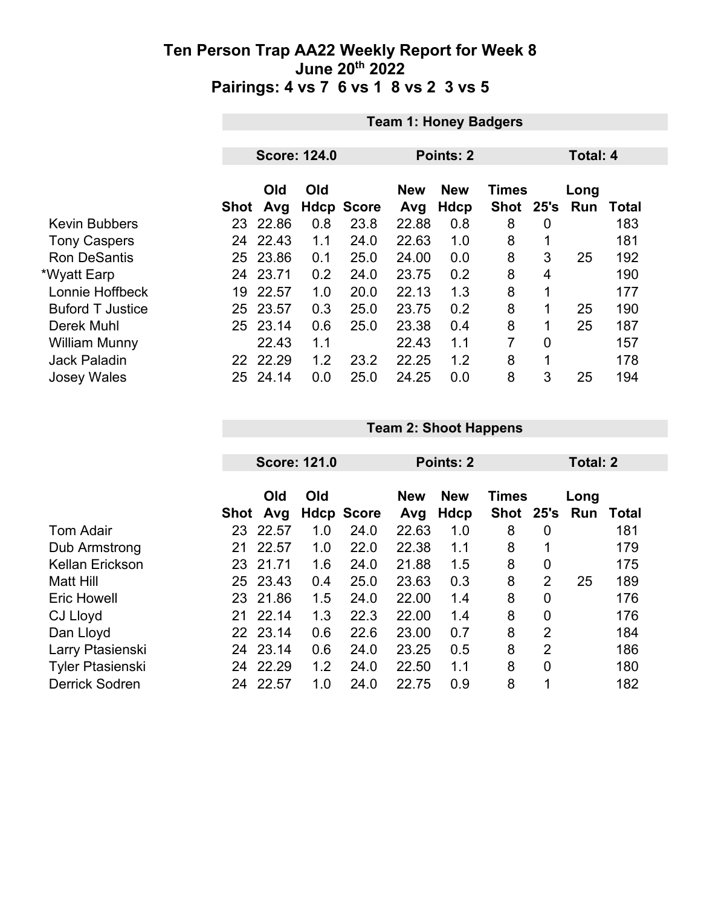|                         |      | <b>Team 1: Honey Badgers</b> |                     |                   |                   |                    |                           |                 |                    |              |  |
|-------------------------|------|------------------------------|---------------------|-------------------|-------------------|--------------------|---------------------------|-----------------|--------------------|--------------|--|
|                         |      |                              |                     |                   |                   |                    |                           |                 |                    |              |  |
|                         |      |                              | <b>Score: 124.0</b> |                   |                   | <b>Points: 2</b>   |                           | <b>Total: 4</b> |                    |              |  |
|                         | Shot | Old<br>Avg                   | Old                 | <b>Hdcp Score</b> | <b>New</b><br>Avg | <b>New</b><br>Hdcp | <b>Times</b><br>Shot 25's |                 | Long<br><b>Run</b> | <b>Total</b> |  |
| <b>Kevin Bubbers</b>    | 23.  | 22.86                        | 0.8                 | 23.8              | 22.88             | 0.8                | 8                         | $\overline{0}$  |                    | 183          |  |
| <b>Tony Caspers</b>     |      | 24 22.43                     | 1.1                 | 24.0              | 22.63             | 1.0                | 8                         |                 |                    | 181          |  |
| <b>Ron DeSantis</b>     | 25   | 23.86                        | 0.1                 | 25.0              | 24.00             | 0.0                | 8                         | 3               | 25                 | 192          |  |
| *Wyatt Earp             | 24   | 23.71                        | 0.2                 | 24.0              | 23.75             | 0.2                | 8                         | 4               |                    | 190          |  |
| Lonnie Hoffbeck         | 19   | 22.57                        | 1.0                 | 20.0              | 22.13             | 1.3                | 8                         | 1               |                    | 177          |  |
| <b>Buford T Justice</b> |      | 25 23.57                     | 0.3                 | 25.0              | 23.75             | 0.2                | 8                         |                 | 25                 | 190          |  |
| Derek Muhl              |      | 25 23.14                     | 0.6                 | 25.0              | 23.38             | 0.4                | 8                         | 1               | 25                 | 187          |  |
| <b>William Munny</b>    |      | 22.43                        | 1.1                 |                   | 22.43             | 1.1                | 7                         | $\overline{0}$  |                    | 157          |  |
| <b>Jack Paladin</b>     |      | 22 22.29                     | 1.2                 | 23.2              | 22.25             | 1.2                | 8                         | 1               |                    | 178          |  |
| <b>Josey Wales</b>      | 25   | 24.14                        | 0.0                 | 25.0              | 24.25             | 0.0                | 8                         | 3               | 25                 | 194          |  |

|                         |      | <b>Score: 121.0</b> |     |                   |                   | Points: 2          |                           | Total: 2       |             |       |
|-------------------------|------|---------------------|-----|-------------------|-------------------|--------------------|---------------------------|----------------|-------------|-------|
|                         | Shot | Old<br>Avg          | Old | <b>Hdcp Score</b> | <b>New</b><br>Avg | <b>New</b><br>Hdcp | <b>Times</b><br>Shot 25's |                | Long<br>Run | Total |
| <b>Tom Adair</b>        | 23   | 22.57               | 1.0 | 24.0              | 22.63             | 1.0                | 8                         | 0              |             | 181   |
| Dub Armstrong           | 21   | 22.57               | 1.0 | 22.0              | 22.38             | 1.1                | 8                         | 1              |             | 179   |
| Kellan Erickson         | 23   | 21.71               | 1.6 | 24.0              | 21.88             | 1.5                | 8                         | 0              |             | 175   |
| Matt Hill               | 25   | 23.43               | 0.4 | 25.0              | 23.63             | 0.3                | 8                         | $\overline{2}$ | 25          | 189   |
| <b>Eric Howell</b>      |      | 23 21.86            | 1.5 | 24.0              | 22.00             | 1.4                | 8                         | 0              |             | 176   |
| CJ Lloyd                | 21   | 22.14               | 1.3 | 22.3              | 22.00             | 1.4                | 8                         | 0              |             | 176   |
| Dan Lloyd               |      | 22 23.14            | 0.6 | 22.6              | 23.00             | 0.7                | 8                         | $\overline{2}$ |             | 184   |
| Larry Ptasienski        |      | 24 23.14            | 0.6 | 24.0              | 23.25             | 0.5                | 8                         | $\overline{2}$ |             | 186   |
| <b>Tyler Ptasienski</b> | 24   | 22.29               | 1.2 | 24.0              | 22.50             | 1.1                | 8                         | $\mathbf 0$    |             | 180   |
| <b>Derrick Sodren</b>   | 24   | 22.57               | 1.0 | 24.0              | 22.75             | 0.9                | 8                         | 1              |             | 182   |

**Team 2: Shoot Happens**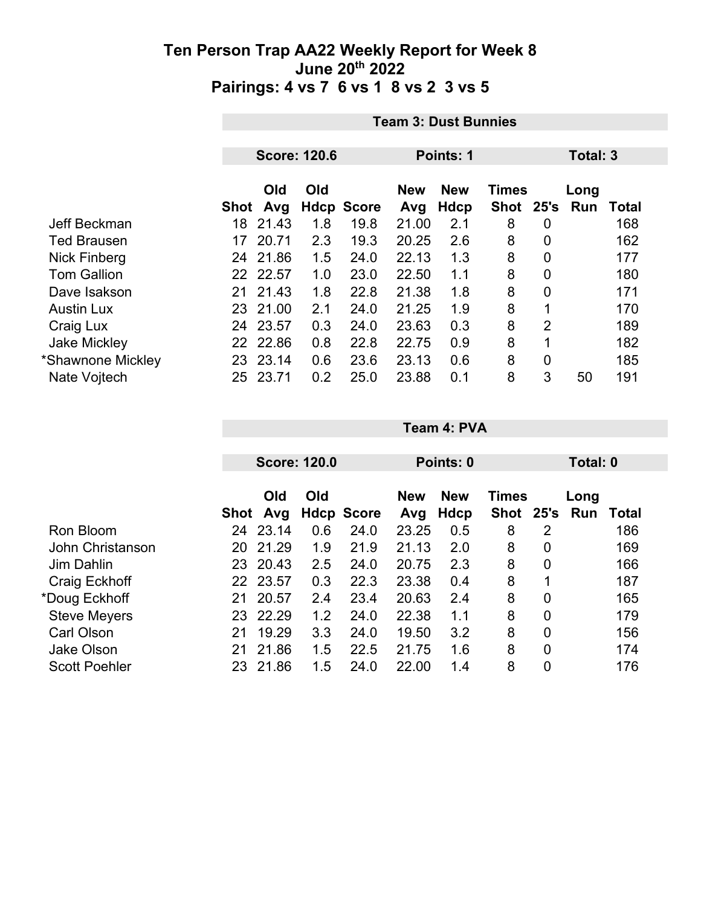|                     |      | <b>Team 3: Dust Bunnies</b> |     |                   |                   |                           |                    |                |             |       |  |
|---------------------|------|-----------------------------|-----|-------------------|-------------------|---------------------------|--------------------|----------------|-------------|-------|--|
|                     |      | <b>Score: 120.6</b>         |     |                   | Points: 1         |                           |                    |                | Total: 3    |       |  |
|                     | Shot | Old<br>Avg                  | Old | <b>Hdcp Score</b> | <b>New</b><br>Avg | <b>New</b><br><b>Hdcp</b> | Times<br>Shot 25's |                | Long<br>Run | Total |  |
| Jeff Beckman        | 18   | 21.43                       | 1.8 | 19.8              | 21.00             | 2.1                       | 8                  | 0              |             | 168   |  |
| <b>Ted Brausen</b>  | 17   | 20.71                       | 2.3 | 19.3              | 20.25             | 2.6                       | 8                  | 0              |             | 162   |  |
| Nick Finberg        |      | 24 21.86                    | 1.5 | 24.0              | 22.13             | 1.3                       | 8                  | 0              |             | 177   |  |
| <b>Tom Gallion</b>  |      | 22 22.57                    | 1.0 | 23.0              | 22.50             | 1.1                       | 8                  | 0              |             | 180   |  |
| Dave Isakson        | 21   | 21.43                       | 1.8 | 22.8              | 21.38             | 1.8                       | 8                  | $\overline{0}$ |             | 171   |  |
| <b>Austin Lux</b>   |      | 23 21.00                    | 2.1 | 24.0              | 21.25             | 1.9                       | 8                  | 1              |             | 170   |  |
| Craig Lux           | 24   | 23.57                       | 0.3 | 24.0              | 23.63             | 0.3                       | 8                  | $\overline{2}$ |             | 189   |  |
| <b>Jake Mickley</b> |      | 22 22.86                    | 0.8 | 22.8              | 22.75             | 0.9                       | 8                  |                |             | 182   |  |
| *Shawnone Mickley   |      | 23 23.14                    | 0.6 | 23.6              | 23.13             | 0.6                       | 8                  | 0              |             | 185   |  |
| Nate Vojtech        | 25   | 23.71                       | 0.2 | 25.0              | 23.88             | 0.1                       | 8                  | 3              | 50          | 191   |  |

|                      |      |            | <b>Score: 120.0</b> |                   |                   | Points: 0          |                           |             | Total: 0    |              |
|----------------------|------|------------|---------------------|-------------------|-------------------|--------------------|---------------------------|-------------|-------------|--------------|
|                      | Shot | Old<br>Avg | Old                 | <b>Hdcp Score</b> | <b>New</b><br>Avg | <b>New</b><br>Hdcp | <b>Times</b><br>Shot 25's |             | Long<br>Run | <b>Total</b> |
| Ron Bloom            | 24   | 23.14      | 0.6                 | 24.0              | 23.25             | 0.5                | 8                         | 2           |             | 186          |
| John Christanson     | 20   | 21.29      | 1.9                 | 21.9              | 21.13             | 2.0                | 8                         | 0           |             | 169          |
| Jim Dahlin           | 23   | 20.43      | 2.5                 | 24.0              | 20.75             | 2.3                | 8                         | 0           |             | 166          |
| Craig Eckhoff        |      | 22 23.57   | 0.3                 | 22.3              | 23.38             | 0.4                | 8                         | $\mathbf 1$ |             | 187          |
| *Doug Eckhoff        | 21   | 20.57      | 2.4                 | 23.4              | 20.63             | 2.4                | 8                         | 0           |             | 165          |
| <b>Steve Meyers</b>  | 23   | 22.29      | 1.2                 | 24.0              | 22.38             | 1.1                | 8                         | 0           |             | 179          |
| <b>Carl Olson</b>    | 21   | 19.29      | 3.3                 | 24.0              | 19.50             | 3.2                | 8                         | 0           |             | 156          |
| <b>Jake Olson</b>    | 21   | 21.86      | 1.5                 | 22.5              | 21.75             | 1.6                | 8                         | 0           |             | 174          |
| <b>Scott Poehler</b> | 23   | 21.86      | 1.5                 | 24.0              | 22.00             | 1.4                | 8                         | 0           |             | 176          |

**Team 4: PVA**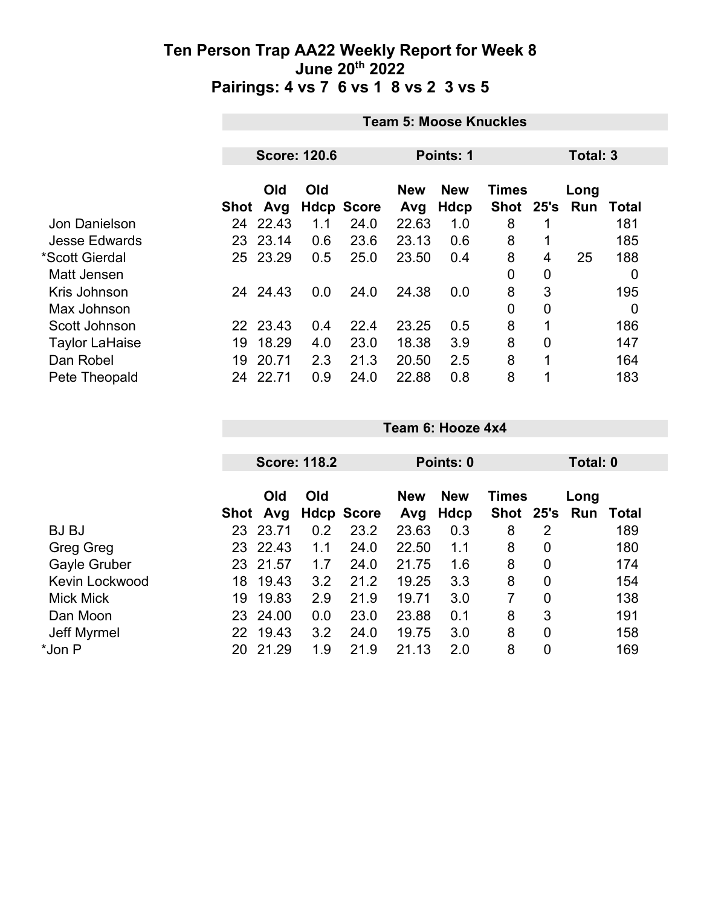|                      |            | <b>Team 5: Moose Knuckles</b>    |     |                   |                                          |      |             |                |      |              |  |
|----------------------|------------|----------------------------------|-----|-------------------|------------------------------------------|------|-------------|----------------|------|--------------|--|
|                      |            | <b>Score: 120.6</b><br>Points: 1 |     |                   |                                          |      |             |                |      | Total: 3     |  |
|                      | Old<br>Old |                                  |     |                   | <b>New</b><br><b>Times</b><br><b>New</b> |      |             |                | Long |              |  |
|                      |            | Shot Avg                         |     | <b>Hdcp Score</b> | Avg                                      | Hdcp | Shot 25's   |                | Run  | <b>Total</b> |  |
| Jon Danielson        | 24         | 22.43                            | 1.1 | 24.0              | 22.63                                    | 1.0  | 8           |                |      | 181          |  |
| <b>Jesse Edwards</b> | 23         | 23.14                            | 0.6 | 23.6              | 23.13                                    | 0.6  | 8           |                |      | 185          |  |
| *Scott Gierdal       |            | 25 23.29                         | 0.5 | 25.0              | 23.50                                    | 0.4  | 8           | 4              | 25   | 188          |  |
| Matt Jensen          |            |                                  |     |                   |                                          |      | $\mathbf 0$ | 0              |      | 0            |  |
| Kris Johnson         |            | 24 24.43                         | 0.0 | 24.0              | 24.38                                    | 0.0  | 8           | 3              |      | 195          |  |
| Max Johnson          |            |                                  |     |                   |                                          |      | $\mathbf 0$ | 0              |      | 0            |  |
| Scott Johnson        |            | 22 23.43                         | 0.4 | 22.4              | 23.25                                    | 0.5  | 8           |                |      | 186          |  |
| Taylor LaHaise       | 19         | 18.29                            | 4.0 | 23.0              | 18.38                                    | 3.9  | 8           | $\overline{0}$ |      | 147          |  |
| Dan Robel            | 19         | 20.71                            | 2.3 | 21.3              | 20.50                                    | 2.5  | 8           | 1              |      | 164          |  |
| Pete Theopald        | 24         | 22.71                            | 0.9 | 24.0              | 22.88                                    | 0.8  | 8           | 1              |      | 183          |  |

|                       |      |            | <b>Score: 118.2</b> |                   |                   | Points: 0          |                               |   | Total: 0 |              |
|-----------------------|------|------------|---------------------|-------------------|-------------------|--------------------|-------------------------------|---|----------|--------------|
|                       | Shot | Old<br>Avg | Old                 | <b>Hdcp Score</b> | <b>New</b><br>Avg | <b>New</b><br>Hdcp | <b>Times</b><br>Shot 25's Run |   | Long     | <b>Total</b> |
| <b>BJBJ</b>           | 23   | 23.71      | 0.2                 | 23.2              | 23.63             | 0.3                | 8                             | 2 |          | 189          |
| Greg Greg             | 23   | 22.43      | 1.1                 | 24.0              | 22.50             | 1.1                | 8                             | 0 |          | 180          |
| Gayle Gruber          |      | 23 21.57   | 1.7                 | 24.0              | 21.75             | 1.6                | 8                             | 0 |          | 174          |
| <b>Kevin Lockwood</b> | 18   | 19.43      | 3.2                 | 21.2              | 19.25             | 3.3                | 8                             | 0 |          | 154          |
| <b>Mick Mick</b>      | 19   | 19.83      | 2.9                 | 21.9              | 19.71             | 3.0                | 7                             | 0 |          | 138          |
| Dan Moon              | 23   | 24.00      | 0.0                 | 23.0              | 23.88             | 0.1                | 8                             | 3 |          | 191          |
| Jeff Myrmel           | 22   | 19.43      | 3.2                 | 24.0              | 19.75             | 3.0                | 8                             | 0 |          | 158          |
| *Jon P                | 20   | 21.29      | 1.9                 | 21.9              | 21.13             | 2.0                | 8                             | 0 |          | 169          |

**Team 6: Hooze 4x4**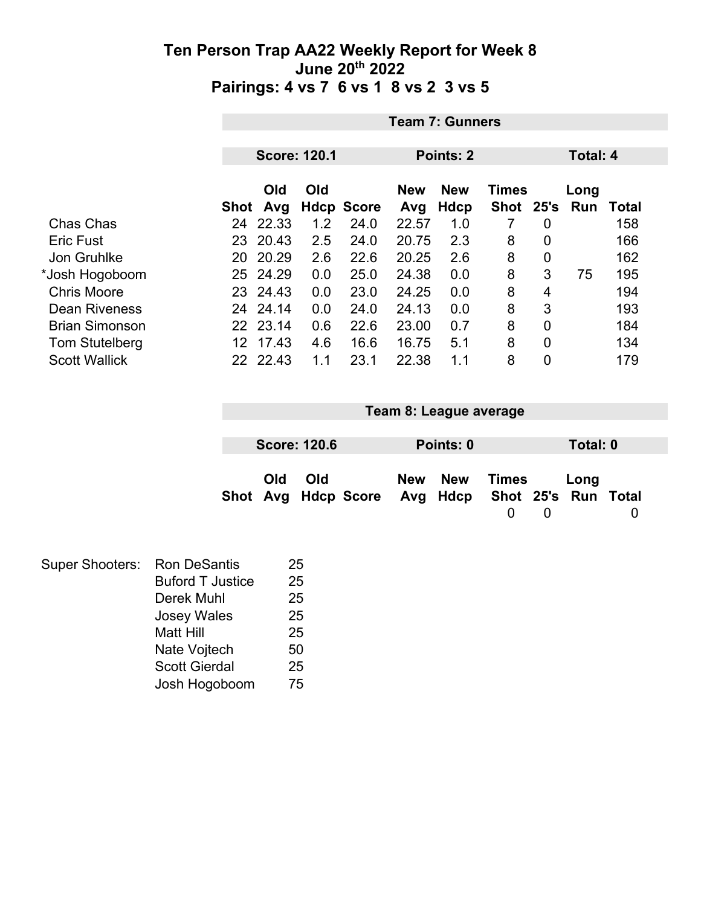|                       |      | <b>Team 7: Gunners</b>           |     |                   |            |            |              |                 |          |              |  |
|-----------------------|------|----------------------------------|-----|-------------------|------------|------------|--------------|-----------------|----------|--------------|--|
|                       |      | <b>Score: 120.1</b><br>Points: 2 |     |                   |            |            |              |                 |          |              |  |
|                       |      |                                  |     |                   |            |            |              | <b>Total: 4</b> |          |              |  |
|                       |      | Old                              | Old |                   | <b>New</b> | <b>New</b> | <b>Times</b> |                 | Long     |              |  |
|                       | Shot | Avg                              |     | <b>Hdcp Score</b> | Avg        | Hdcp       | <b>Shot</b>  |                 | 25's Run | <b>Total</b> |  |
| Chas Chas             | 24   | 22.33                            | 1.2 | 24.0              | 22.57      | 1.0        |              | 0               |          | 158          |  |
| <b>Eric Fust</b>      | 23   | 20.43                            | 2.5 | 24.0              | 20.75      | 2.3        | 8            | 0               |          | 166          |  |
| Jon Gruhlke           | 20   | 20.29                            | 2.6 | 22.6              | 20.25      | 2.6        | 8            | 0               |          | 162          |  |
| *Josh Hogoboom        |      | 25 24.29                         | 0.0 | 25.0              | 24.38      | 0.0        | 8            | 3               | 75       | 195          |  |
| <b>Chris Moore</b>    |      | 23 24.43                         | 0.0 | 23.0              | 24.25      | 0.0        | 8            | 4               |          | 194          |  |
| <b>Dean Riveness</b>  | 24   | 24.14                            | 0.0 | 24.0              | 24.13      | 0.0        | 8            | 3               |          | 193          |  |
| <b>Brian Simonson</b> |      | 22 23.14                         | 0.6 | 22.6              | 23.00      | 0.7        | 8            | 0               |          | 184          |  |
| <b>Tom Stutelberg</b> | 12   | 17.43                            | 4.6 | 16.6              | 16.75      | 5.1        | 8            | 0               |          | 134          |  |
| <b>Scott Wallick</b>  | 22.  | 22.43                            | 1.1 | 23.1              | 22.38      | 1.1        | 8            | 0               |          | 179          |  |

| Team 8: League average                                  |  |                     |  |  |           |       |  |          |  |
|---------------------------------------------------------|--|---------------------|--|--|-----------|-------|--|----------|--|
|                                                         |  |                     |  |  |           |       |  |          |  |
|                                                         |  | <b>Score: 120.6</b> |  |  | Points: 0 |       |  | Total: 0 |  |
| Old<br>Shot Avg Hdcp Score Avg Hdcp Shot 25's Run Total |  | Old                 |  |  | New New   | Times |  | Long     |  |

| Super Shooters: Ron DeSantis |                         | 25 |
|------------------------------|-------------------------|----|
|                              | <b>Buford T Justice</b> | 25 |
|                              | Derek Muhl              | 25 |
|                              | <b>Josey Wales</b>      | 25 |
|                              | <b>Matt Hill</b>        | 25 |
|                              | Nate Vojtech            | 50 |
|                              | <b>Scott Gierdal</b>    | 25 |
|                              | Josh Hogoboom           | 75 |
|                              |                         |    |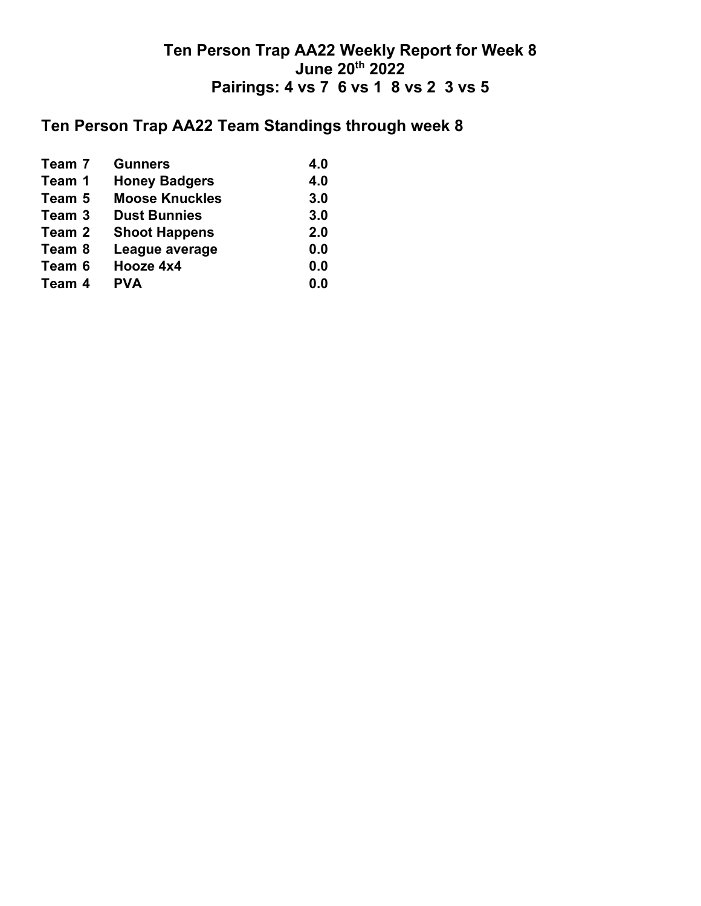## **Ten Person Trap AA22 Team Standings through week 8**

| Team 7 | <b>Gunners</b>        | 4.0 |
|--------|-----------------------|-----|
| Team 1 | <b>Honey Badgers</b>  | 4.0 |
| Team 5 | <b>Moose Knuckles</b> | 3.0 |
| Team 3 | <b>Dust Bunnies</b>   | 3.0 |
| Team 2 | <b>Shoot Happens</b>  | 2.0 |
| Team 8 | League average        | 0.0 |
| Team 6 | Hooze 4x4             | 0.0 |
| Team 4 | <b>PVA</b>            | 0.0 |
|        |                       |     |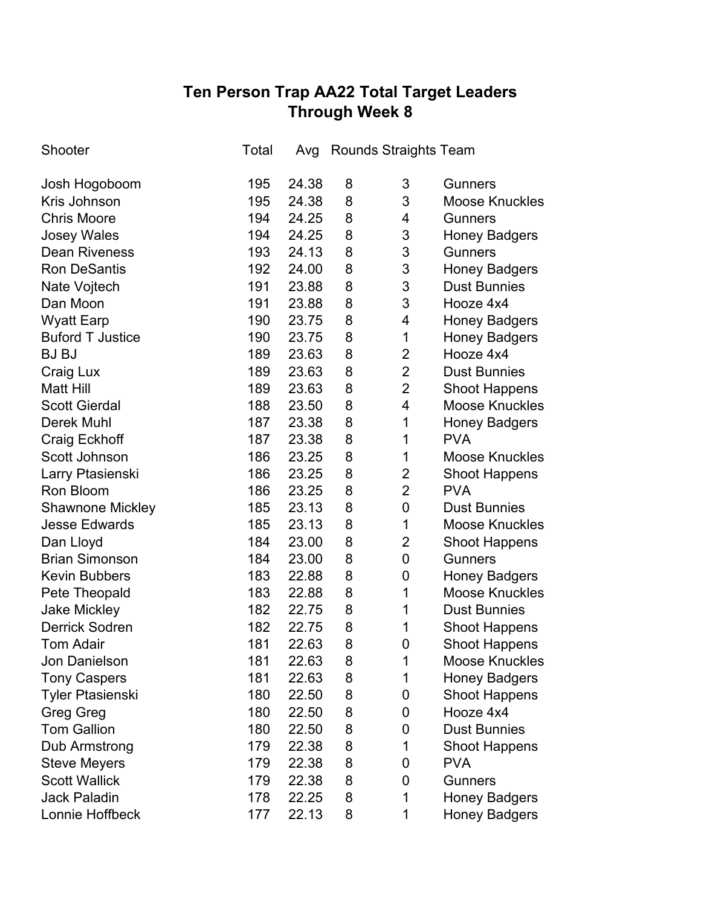# **Ten Person Trap AA22 Total Target Leaders Through Week 8**

| Shooter                 | Total | Avg   |   | <b>Rounds Straights Team</b> |                       |
|-------------------------|-------|-------|---|------------------------------|-----------------------|
| Josh Hogoboom           | 195   | 24.38 | 8 | 3                            | <b>Gunners</b>        |
| Kris Johnson            | 195   | 24.38 | 8 | 3                            | <b>Moose Knuckles</b> |
| <b>Chris Moore</b>      | 194   | 24.25 | 8 | 4                            | <b>Gunners</b>        |
| <b>Josey Wales</b>      | 194   | 24.25 | 8 | 3                            | <b>Honey Badgers</b>  |
| <b>Dean Riveness</b>    | 193   | 24.13 | 8 | 3                            | <b>Gunners</b>        |
| <b>Ron DeSantis</b>     | 192   | 24.00 | 8 | 3                            | <b>Honey Badgers</b>  |
| Nate Vojtech            | 191   | 23.88 | 8 | 3                            | <b>Dust Bunnies</b>   |
| Dan Moon                | 191   | 23.88 | 8 | 3                            | Hooze 4x4             |
| <b>Wyatt Earp</b>       | 190   | 23.75 | 8 | 4                            | <b>Honey Badgers</b>  |
| <b>Buford T Justice</b> | 190   | 23.75 | 8 | 1                            | <b>Honey Badgers</b>  |
| <b>BJ BJ</b>            | 189   | 23.63 | 8 | $\overline{2}$               | Hooze 4x4             |
| Craig Lux               | 189   | 23.63 | 8 | $\overline{2}$               | <b>Dust Bunnies</b>   |
| <b>Matt Hill</b>        | 189   | 23.63 | 8 | $\overline{2}$               | <b>Shoot Happens</b>  |
| <b>Scott Gierdal</b>    | 188   | 23.50 | 8 | 4                            | <b>Moose Knuckles</b> |
| <b>Derek Muhl</b>       | 187   | 23.38 | 8 | 1                            | <b>Honey Badgers</b>  |
| <b>Craig Eckhoff</b>    | 187   | 23.38 | 8 | 1                            | <b>PVA</b>            |
| Scott Johnson           | 186   | 23.25 | 8 | 1                            | <b>Moose Knuckles</b> |
| Larry Ptasienski        | 186   | 23.25 | 8 | $\overline{2}$               | <b>Shoot Happens</b>  |
| Ron Bloom               | 186   | 23.25 | 8 | $\overline{2}$               | <b>PVA</b>            |
| <b>Shawnone Mickley</b> | 185   | 23.13 | 8 | 0                            | <b>Dust Bunnies</b>   |
| <b>Jesse Edwards</b>    | 185   | 23.13 | 8 | 1                            | <b>Moose Knuckles</b> |
| Dan Lloyd               | 184   | 23.00 | 8 | $\overline{2}$               | <b>Shoot Happens</b>  |
| <b>Brian Simonson</b>   | 184   | 23.00 | 8 | 0                            | <b>Gunners</b>        |
| <b>Kevin Bubbers</b>    | 183   | 22.88 | 8 | 0                            | <b>Honey Badgers</b>  |
| Pete Theopald           | 183   | 22.88 | 8 | 1                            | <b>Moose Knuckles</b> |
| <b>Jake Mickley</b>     | 182   | 22.75 | 8 | 1                            | <b>Dust Bunnies</b>   |
| <b>Derrick Sodren</b>   | 182   | 22.75 | 8 | 1                            | <b>Shoot Happens</b>  |
| <b>Tom Adair</b>        | 181   | 22.63 | 8 | 0                            | <b>Shoot Happens</b>  |
| Jon Danielson           | 181   | 22.63 | 8 | 1                            | <b>Moose Knuckles</b> |
| <b>Tony Caspers</b>     | 181   | 22.63 | 8 | 1                            | <b>Honey Badgers</b>  |
| <b>Tyler Ptasienski</b> | 180   | 22.50 | 8 | 0                            | <b>Shoot Happens</b>  |
| <b>Greg Greg</b>        | 180   | 22.50 | 8 | 0                            | Hooze 4x4             |
| <b>Tom Gallion</b>      | 180   | 22.50 | 8 | 0                            | <b>Dust Bunnies</b>   |
| Dub Armstrong           | 179   | 22.38 | 8 | 1                            | <b>Shoot Happens</b>  |
| <b>Steve Meyers</b>     | 179   | 22.38 | 8 | 0                            | <b>PVA</b>            |
| <b>Scott Wallick</b>    | 179   | 22.38 | 8 | 0                            | <b>Gunners</b>        |
| <b>Jack Paladin</b>     | 178   | 22.25 | 8 | 1                            | <b>Honey Badgers</b>  |
| Lonnie Hoffbeck         | 177   | 22.13 | 8 | 1                            | <b>Honey Badgers</b>  |